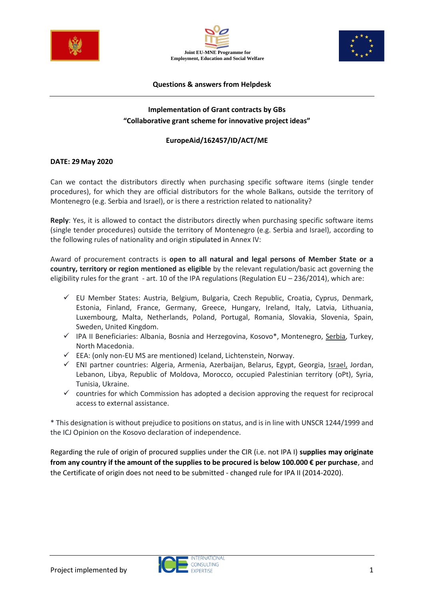





#### **Questions & answers from Helpdesk**

# **Implementation of Grant contracts by GBs "Collaborative grant scheme for innovative project ideas"**

## **EuropeAid/162457/ID/ACT/ME**

#### **DATE: 29May 2020**

Can we contact the distributors directly when purchasing specific software items (single tender procedures), for which they are official distributors for the whole Balkans, outside the territory of Montenegro (e.g. Serbia and Israel), or is there a restriction related to nationality?

**Reply**: Yes, it is allowed to contact the distributors directly when purchasing specific software items (single tender procedures) outside the territory of Montenegro (e.g. Serbia and Israel), according to the following rules of nationality and origin stipulated in Annex IV:

Award of procurement contracts is **open to all natural and legal persons of Member State or a country, territory or region mentioned as eligible** by the relevant regulation/basic act governing the eligibility rules for the grant - art. 10 of the IPA regulations (Regulation EU – 236/2014), which are:

- ✓ EU Member States: Austria, Belgium, Bulgaria, Czech Republic, Croatia, Cyprus, Denmark, Estonia, Finland, France, Germany, Greece, Hungary, Ireland, Italy, Latvia, Lithuania, Luxembourg, Malta, Netherlands, Poland, Portugal, Romania, Slovakia, Slovenia, Spain, Sweden, United Kingdom.
- ✓ IPA II Beneficiaries: Albania, Bosnia and Herzegovina, Kosovo\*, Montenegro, Serbia, Turkey, North Macedonia.
- ✓ EEA: (only non-EU MS are mentioned) Iceland, Lichtenstein, Norway.
- ✓ ENI partner countries: Algeria, Armenia, Azerbaijan, Belarus, Egypt, Georgia, Israel, Jordan, Lebanon, Libya, Republic of Moldova, Morocco, occupied Palestinian territory (oPt), Syria, Tunisia, Ukraine.
- $\checkmark$  countries for which Commission has adopted a decision approving the request for reciprocal access to external assistance.

\* This designation is without prejudice to positions on status, and is in line with UNSCR 1244/1999 and the ICJ Opinion on the Kosovo declaration of independence.

Regarding the rule of origin of procured supplies under the CIR (i.e. not IPA I) **supplies may originate from any country if the amount of the supplies to be procured is below 100.000 € per purchase**, and the Certificate of origin does not need to be submitted - changed rule for IPA II (2014-2020).

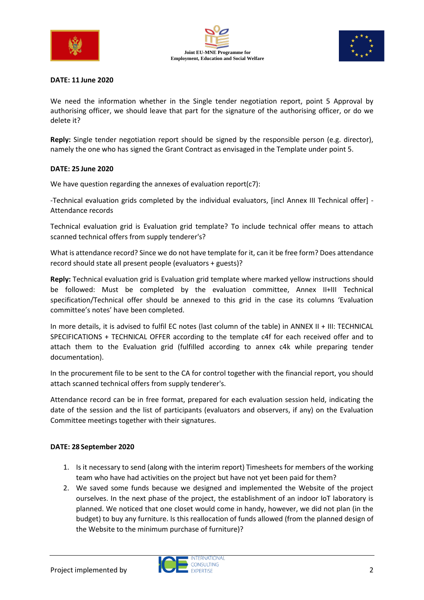





#### **DATE: 11 June 2020**

We need the information whether in the Single tender negotiation report, point 5 Approval by authorising officer, we should leave that part for the signature of the authorising officer, or do we delete it?

**Reply:** Single tender negotiation report should be signed by the responsible person (e.g. director), namely the one who has signed the Grant Contract as envisaged in the Template under point 5.

#### **DATE: 25 June 2020**

We have question regarding the annexes of evaluation report(c7):

-Technical evaluation grids completed by the individual evaluators, [incl Annex III Technical offer] - Attendance records

Technical evaluation grid is Evaluation grid template? To include technical offer means to attach scanned technical offers from supply tenderer's?

What is attendance record? Since we do not have template for it, can it be free form? Does attendance record should state all present people (evaluators + guests)?

**Reply:** Technical evaluation grid is Evaluation grid template where marked yellow instructions should be followed: Must be completed by the evaluation committee, Annex II+III Technical specification/Technical offer should be annexed to this grid in the case its columns 'Evaluation committee's notes' have been completed.

In more details, it is advised to fulfil EC notes (last column of the table) in ANNEX II + III: TECHNICAL SPECIFICATIONS + TECHNICAL OFFER according to the template c4f for each received offer and to attach them to the Evaluation grid (fulfilled according to annex c4k while preparing tender documentation).

In the procurement file to be sent to the CA for control together with the financial report, you should attach scanned technical offers from supply tenderer's.

Attendance record can be in free format, prepared for each evaluation session held, indicating the date of the session and the list of participants (evaluators and observers, if any) on the Evaluation Committee meetings together with their signatures.

#### **DATE: 28 September 2020**

- 1. Is it necessary to send (along with the interim report) Timesheets for members of the working team who have had activities on the project but have not yet been paid for them?
- 2. We saved some funds because we designed and implemented the Website of the project ourselves. In the next phase of the project, the establishment of an indoor IoT laboratory is planned. We noticed that one closet would come in handy, however, we did not plan (in the budget) to buy any furniture. Is this reallocation of funds allowed (from the planned design of the Website to the minimum purchase of furniture)?

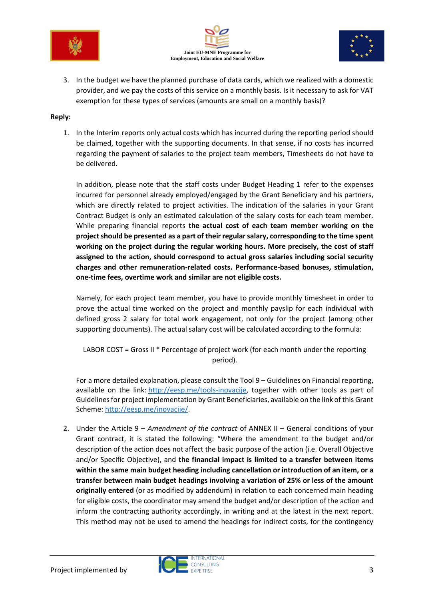





3. In the budget we have the planned purchase of data cards, which we realized with a domestic provider, and we pay the costs of this service on a monthly basis. Is it necessary to ask for VAT exemption for these types of services (amounts are small on a monthly basis)?

## **Reply:**

1. In the Interim reports only actual costs which has incurred during the reporting period should be claimed, together with the supporting documents. In that sense, if no costs has incurred regarding the payment of salaries to the project team members, Timesheets do not have to be delivered.

In addition, please note that the staff costs under Budget Heading 1 refer to the expenses incurred for personnel already employed/engaged by the Grant Beneficiary and his partners, which are directly related to project activities. The indication of the salaries in your Grant Contract Budget is only an estimated calculation of the salary costs for each team member. While preparing financial reports **the actual cost of each team member working on the project should be presented as a part of their regular salary, corresponding to the time spent working on the project during the regular working hours. More precisely, the cost of staff assigned to the action, should correspond to actual gross salaries including social security charges and other remuneration-related costs. Performance-based bonuses, stimulation, one-time fees, overtime work and similar are not eligible costs.**

Namely, for each project team member, you have to provide monthly timesheet in order to prove the actual time worked on the project and monthly payslip for each individual with defined gross 2 salary for total work engagement, not only for the project (among other supporting documents). The actual salary cost will be calculated according to the formula:

LABOR COST = Gross II \* Percentage of project work (for each month under the reporting period).

For a more detailed explanation, please consult the Tool 9 – Guidelines on Financial reporting, available on the link: [http://eesp.me/tools-inovacije,](http://eesp.me/tools-inovacije) together with other tools as part of Guidelines for project implementation by Grant Beneficiaries, available on the link of this Grant Scheme: [http://eesp.me/inovacije/.](http://eesp.me/inovacije/)

2. Under the Article 9 – *Amendment of the contract* of ANNEX II – General conditions of your Grant contract, it is stated the following: "Where the amendment to the budget and/or description of the action does not affect the basic purpose of the action (i.e. Overall Objective and/or Specific Objective), and **the financial impact is limited to a transfer between items within the same main budget heading including cancellation or introduction of an item, or a transfer between main budget headings involving a variation of 25% or less of the amount originally entered** (or as modified by addendum) in relation to each concerned main heading for eligible costs, the coordinator may amend the budget and/or description of the action and inform the contracting authority accordingly, in writing and at the latest in the next report. This method may not be used to amend the headings for indirect costs, for the contingency

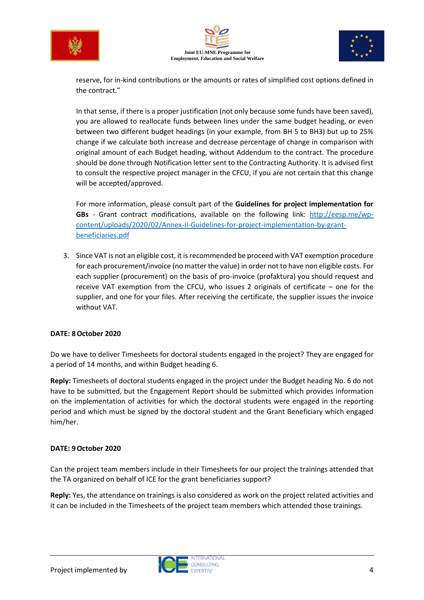





reserve, for in-kind contributions or the amounts or rates of simplified cost options defined in the contract."

In that sense, if there is a proper justification (not only because some funds have been saved), you are allowed to reallocate funds between lines under the same budget heading, or even between two different budget headings (in your example, from BH 5 to BH3) but up to 25% change if we calculate both increase and decrease percentage of change in comparison with original amount of each Budget heading, without Addendum to the contract. The procedure should be done through Notification letter sent to the Contracting Authority. It is advised first to consult the respective project manager in the CFCU, if you are not certain that this change will be accepted/approved.

For more information, please consult part of the **Guidelines for project implementation for GBs** - Grant contract modifications, available on the following link: [http://eesp.me/wp](http://eesp.me/wp-content/uploads/2020/02/Annex-II-Guidelines-for-project-implementation-by-grant-beneficiaries.pdf)[content/uploads/2020/02/Annex-II-Guidelines-for-project-implementation-by-grant](http://eesp.me/wp-content/uploads/2020/02/Annex-II-Guidelines-for-project-implementation-by-grant-beneficiaries.pdf)[beneficiaries.pdf](http://eesp.me/wp-content/uploads/2020/02/Annex-II-Guidelines-for-project-implementation-by-grant-beneficiaries.pdf)

3. Since VAT is not an eligible cost, it is recommended be proceed with VAT exemption procedure for each procurement/invoice (no matter the value) in order not to have non eligible costs. For each supplier (procurement) on the basis of pro-invoice (profaktura) you should request and receive VAT exemption from the CFCU, who issues 2 originals of certificate – one for the supplier, and one for your files. After receiving the certificate, the supplier issues the invoice without VAT.

# **DATE: 8October 2020**

Do we have to deliver Timesheets for doctoral students engaged in the project? They are engaged for a period of 14 months, and within Budget heading 6.

**Reply:** Timesheets of doctoral students engaged in the project under the Budget heading No. 6 do not have to be submitted, but the Engagement Report should be submitted which provides information on the implementation of activities for which the doctoral students were engaged in the reporting period and which must be signed by the doctoral student and the Grant Beneficiary which engaged him/her.

## **DATE: 9October 2020**

Can the project team members include in their Timesheets for our project the trainings attended that the TA organized on behalf of ICE for the grant beneficiaries support?

**Reply:** Yes, the attendance on trainings is also considered as work on the project related activities and it can be included in the Timesheets of the project team members which attended those trainings.